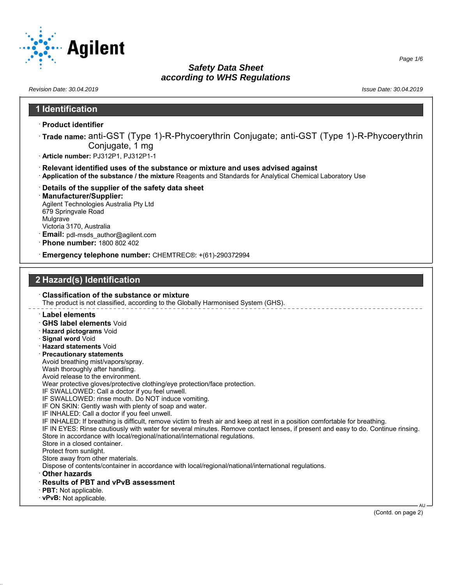

*Revision Date: 30.04.2019 Issue Date: 30.04.2019*

# **1 Identification** · **Product identifier**

- · **Trade name:** anti-GST (Type 1)-R-Phycoerythrin Conjugate; anti-GST (Type 1)-R-Phycoerythrin Conjugate, 1 mg
- · **Article number:** PJ312P1, PJ312P1-1
- · **Relevant identified uses of the substance or mixture and uses advised against**
- · **Application of the substance / the mixture** Reagents and Standards for Analytical Chemical Laboratory Use
- · **Details of the supplier of the safety data sheet**
- · **Manufacturer/Supplier:** Agilent Technologies Australia Pty Ltd 679 Springvale Road Mulgrave Victoria 3170, Australia
- · **Email:** pdl-msds\_author@agilent.com
- · **Phone number:** 1800 802 402
- · **Emergency telephone number:** CHEMTREC®: +(61)-290372994

## **2 Hazard(s) Identification**

· **Classification of the substance or mixture** The product is not classified, according to the Globally Harmonised System (GHS).

- · **Label elements**
- · **GHS label elements** Void
- · **Hazard pictograms** Void
- · **Signal word** Void
- · **Hazard statements** Void
- · **Precautionary statements**
- Avoid breathing mist/vapors/spray.
- Wash thoroughly after handling.
- Avoid release to the environment.
- Wear protective gloves/protective clothing/eye protection/face protection.
- IF SWALLOWED: Call a doctor if you feel unwell.
- IF SWALLOWED: rinse mouth. Do NOT induce vomiting.
- IF ON SKIN: Gently wash with plenty of soap and water.
- IF INHALED: Call a doctor if you feel unwell.
- IF INHALED: If breathing is difficult, remove victim to fresh air and keep at rest in a position comfortable for breathing.
- IF IN EYES: Rinse cautiously with water for several minutes. Remove contact lenses, if present and easy to do. Continue rinsing. Store in accordance with local/regional/national/international regulations.
- Store in a closed container.
- Protect from sunlight.
- Store away from other materials.
- Dispose of contents/container in accordance with local/regional/national/international regulations.
- · **Other hazards**
- · **Results of PBT and vPvB assessment**
- · **PBT:** Not applicable.
- · **vPvB:** Not applicable.

(Contd. on page 2)

AU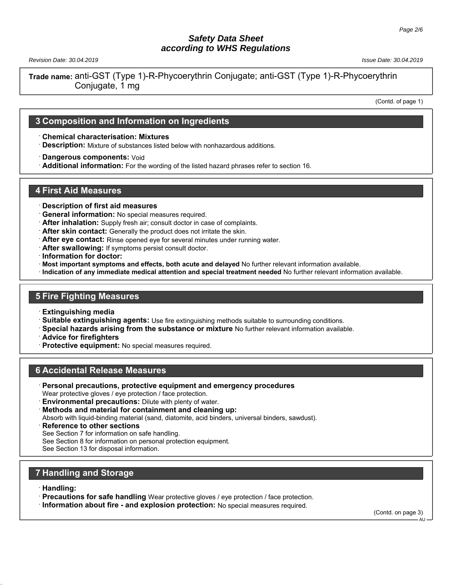*Revision Date: 30.04.2019 Issue Date: 30.04.2019*

**Trade name:** anti-GST (Type 1)-R-Phycoerythrin Conjugate; anti-GST (Type 1)-R-Phycoerythrin Conjugate, 1 mg

(Contd. of page 1)

#### **3 Composition and Information on Ingredients**

· **Chemical characterisation: Mixtures**

· **Description:** Mixture of substances listed below with nonhazardous additions.

· **Dangerous components:** Void

· **Additional information:** For the wording of the listed hazard phrases refer to section 16.

#### **4 First Aid Measures**

- · **Description of first aid measures**
- · **General information:** No special measures required.
- · **After inhalation:** Supply fresh air; consult doctor in case of complaints.
- · **After skin contact:** Generally the product does not irritate the skin.
- · **After eye contact:** Rinse opened eye for several minutes under running water.
- · **After swallowing:** If symptoms persist consult doctor.
- · **Information for doctor:**
- · **Most important symptoms and effects, both acute and delayed** No further relevant information available.
- · **Indication of any immediate medical attention and special treatment needed** No further relevant information available.

## **5 Fire Fighting Measures**

- · **Extinguishing media**
- · **Suitable extinguishing agents:** Use fire extinguishing methods suitable to surrounding conditions.
- · **Special hazards arising from the substance or mixture** No further relevant information available.
- · **Advice for firefighters**
- · **Protective equipment:** No special measures required.

#### **6 Accidental Release Measures**

- · **Personal precautions, protective equipment and emergency procedures** Wear protective gloves / eye protection / face protection.
- · **Environmental precautions:** Dilute with plenty of water.
- · **Methods and material for containment and cleaning up:**

Absorb with liquid-binding material (sand, diatomite, acid binders, universal binders, sawdust).

- **Reference to other sections**
- See Section 7 for information on safe handling.
- See Section 8 for information on personal protection equipment.
- See Section 13 for disposal information.

## **7 Handling and Storage**

- · **Handling:**
- · **Precautions for safe handling** Wear protective gloves / eye protection / face protection.
- · **Information about fire and explosion protection:** No special measures required.

(Contd. on page 3)

A<sub>I</sub>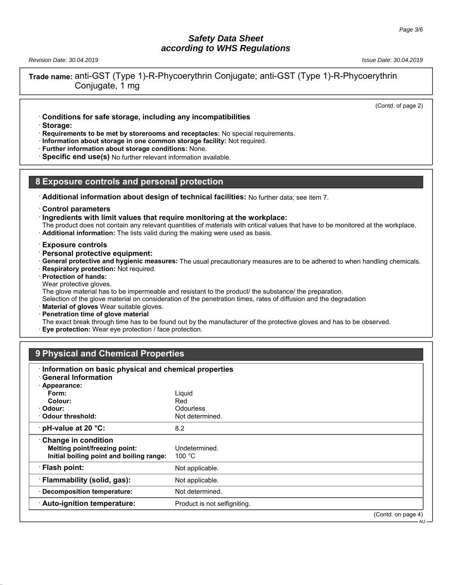*Revision Date: 30.04.2019 Issue Date: 30.04.2019*

**Trade name:** anti-GST (Type 1)-R-Phycoerythrin Conjugate; anti-GST (Type 1)-R-Phycoerythrin Conjugate, 1 mg

(Contd. of page 2)

AU

- · **Conditions for safe storage, including any incompatibilities**
- · **Storage:**

· **Requirements to be met by storerooms and receptacles:** No special requirements.

- · **Information about storage in one common storage facility:** Not required.
- · **Further information about storage conditions:** None.

**Specific end use(s)** No further relevant information available.

#### **8 Exposure controls and personal protection**

- · **Additional information about design of technical facilities:** No further data; see item 7.
- · **Control parameters**
- · **Ingredients with limit values that require monitoring at the workplace:**

The product does not contain any relevant quantities of materials with critical values that have to be monitored at the workplace. · **Additional information:** The lists valid during the making were used as basis.

- · **Exposure controls**
- · **Personal protective equipment:**
- · **General protective and hygienic measures:** The usual precautionary measures are to be adhered to when handling chemicals.
- · **Respiratory protection:** Not required.
- · **Protection of hands:**
- Wear protective gloves.

The glove material has to be impermeable and resistant to the product/ the substance/ the preparation.

Selection of the glove material on consideration of the penetration times, rates of diffusion and the degradation

- **Material of gloves** Wear suitable gloves.
- · **Penetration time of glove material**

The exact break through time has to be found out by the manufacturer of the protective gloves and has to be observed.

**Eye protection:** Wear eye protection / face protection.

## **9 Physical and Chemical Properties**

| Information on basic physical and chemical properties<br><b>General Information</b>                     |                                   |                    |
|---------------------------------------------------------------------------------------------------------|-----------------------------------|--------------------|
| · Appearance:                                                                                           |                                   |                    |
| Form:                                                                                                   | Liquid                            |                    |
| Colour:                                                                                                 | Red                               |                    |
| · Odour:                                                                                                | Odourless                         |                    |
| Odour threshold:                                                                                        | Not determined.                   |                    |
| pH-value at 20 °C:                                                                                      | 8.2                               |                    |
| <b>Change in condition</b><br>Melting point/freezing point:<br>Initial boiling point and boiling range: | Undetermined.<br>100 $^{\circ}$ C |                    |
| · Flash point:                                                                                          | Not applicable.                   |                    |
| · Flammability (solid, gas):                                                                            | Not applicable.                   |                    |
| · Decomposition temperature:                                                                            | Not determined.                   |                    |
| Auto-ignition temperature:                                                                              | Product is not selfigniting.      |                    |
|                                                                                                         |                                   | (Contd. on page 4) |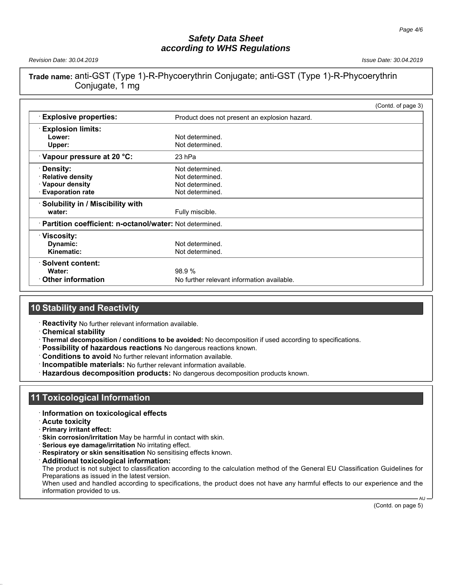*Revision Date: 30.04.2019 Issue Date: 30.04.2019*

## **Trade name:** anti-GST (Type 1)-R-Phycoerythrin Conjugate; anti-GST (Type 1)-R-Phycoerythrin Conjugate, 1 mg

|                                                           |                                               | (Contd. of page 3) |
|-----------------------------------------------------------|-----------------------------------------------|--------------------|
| <b>Explosive properties:</b>                              | Product does not present an explosion hazard. |                    |
| <b>Explosion limits:</b>                                  |                                               |                    |
| Lower:                                                    | Not determined.                               |                    |
| Upper:                                                    | Not determined.                               |                    |
| Vapour pressure at 20 °C:                                 | 23 hPa                                        |                    |
| · Density:                                                | Not determined.                               |                    |
| Relative density                                          | Not determined.                               |                    |
| · Vapour density                                          | Not determined.                               |                    |
| <b>Evaporation rate</b>                                   | Not determined.                               |                    |
| Solubility in / Miscibility with                          |                                               |                    |
| water:                                                    | Fully miscible.                               |                    |
| · Partition coefficient: n-octanol/water: Not determined. |                                               |                    |
| ∵Viscosity:                                               |                                               |                    |
| Dynamic:                                                  | Not determined.                               |                    |
| Kinematic:                                                | Not determined.                               |                    |
| · Solvent content:                                        |                                               |                    |
| Water:                                                    | 98.9%                                         |                    |
| $\cdot$ Other information                                 | No further relevant information available.    |                    |

## **10 Stability and Reactivity**

- · **Reactivity** No further relevant information available.
- · **Chemical stability**
- · **Thermal decomposition / conditions to be avoided:** No decomposition if used according to specifications.
- · **Possibility of hazardous reactions** No dangerous reactions known.
- · **Conditions to avoid** No further relevant information available.
- · **Incompatible materials:** No further relevant information available.
- · **Hazardous decomposition products:** No dangerous decomposition products known.

## **11 Toxicological Information**

- · **Information on toxicological effects**
- · **Acute toxicity**
- · **Primary irritant effect:**
- · **Skin corrosion/irritation** May be harmful in contact with skin.
- · **Serious eye damage/irritation** No irritating effect.
- · **Respiratory or skin sensitisation** No sensitising effects known.
- · **Additional toxicological information:**

The product is not subject to classification according to the calculation method of the General EU Classification Guidelines for Preparations as issued in the latest version.

When used and handled according to specifications, the product does not have any harmful effects to our experience and the information provided to us. AU

(Contd. on page 5)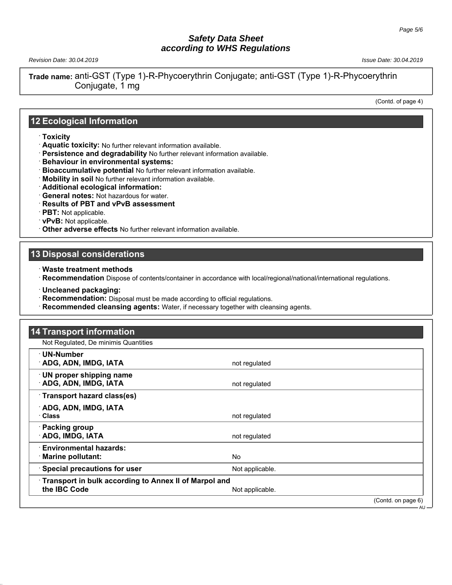*Revision Date: 30.04.2019 Issue Date: 30.04.2019*

**Trade name:** anti-GST (Type 1)-R-Phycoerythrin Conjugate; anti-GST (Type 1)-R-Phycoerythrin Conjugate, 1 mg

(Contd. of page 4)

#### **12 Ecological Information**

- · **Toxicity**
- · **Aquatic toxicity:** No further relevant information available.
- · **Persistence and degradability** No further relevant information available.
- · **Behaviour in environmental systems:**
- · **Bioaccumulative potential** No further relevant information available.
- · **Mobility in soil** No further relevant information available.
- · **Additional ecological information:**
- · **General notes:** Not hazardous for water.
- · **Results of PBT and vPvB assessment**
- · **PBT:** Not applicable.
- · **vPvB:** Not applicable.
- · **Other adverse effects** No further relevant information available.

#### **13 Disposal considerations**

- · **Waste treatment methods**
- · **Recommendation** Dispose of contents/container in accordance with local/regional/national/international regulations.
- · **Uncleaned packaging:**
- · **Recommendation:** Disposal must be made according to official regulations.
- · **Recommended cleansing agents:** Water, if necessary together with cleansing agents.

| <b>14 Transport information</b>                                              |                 |                    |
|------------------------------------------------------------------------------|-----------------|--------------------|
| Not Regulated, De minimis Quantities                                         |                 |                    |
| ∙ UN-Number<br><b>ADG, ADN, IMDG, IATA</b>                                   | not regulated   |                    |
| · UN proper shipping name<br><b>ADG, ADN, IMDG, IATA</b>                     | not regulated   |                    |
| Transport hazard class(es)                                                   |                 |                    |
| ADG, ADN, IMDG, IATA<br>Class                                                | not regulated   |                    |
| · Packing group<br><b>ADG, IMDG, IATA</b>                                    | not regulated   |                    |
| <b>Environmental hazards:</b><br><b>Marine pollutant:</b>                    | No.             |                    |
| Special precautions for user                                                 | Not applicable. |                    |
| <b>Transport in bulk according to Annex II of Marpol and</b><br>the IBC Code | Not applicable. |                    |
|                                                                              |                 | (Contd. on page 6) |